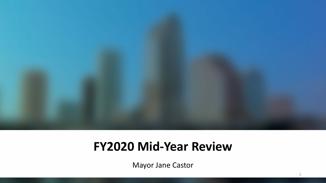

### **FY2020 Mid-Year Review**

Mayor Jane Castor

1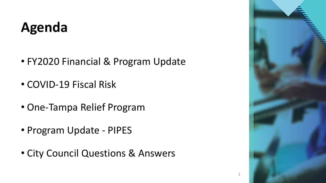## **Agenda**

- FY2020 Financial & Program Update
- COVID-19 Fiscal Risk
- One-Tampa Relief Program
- Program Update PIPES
- City Council Questions & Answers



2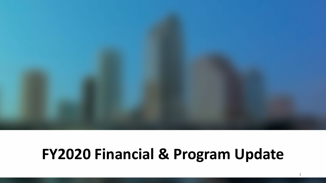# **FY2020 Financial & Program Update**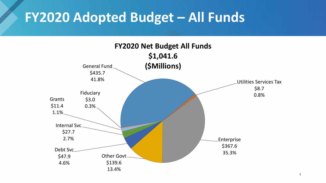### **FY2020 Adopted Budget – All Funds**

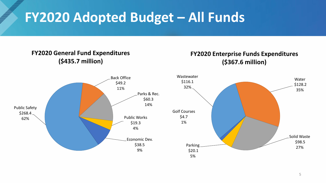## **FY2020 Adopted Budget – All Funds**

#### **FY2020 General Fund Expenditures (\$435.7 million)**

#### **FY2020 Enterprise Funds Expenditures (\$367.6 million)**



\$98.5

Water \$128.2 35%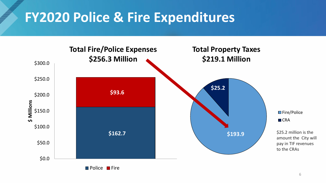### **FY2020 Police & Fire Expenditures**

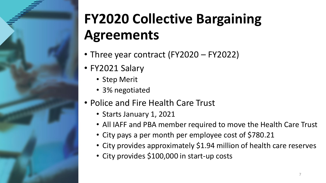

# **FY2020 Collective Bargaining Agreements**

- Three year contract (FY2020 FY2022)
- FY2021 Salary
	- Step Merit
	- 3% negotiated
- Police and Fire Health Care Trust
	- Starts January 1, 2021
	- All IAFF and PBA member required to move the Health Care Trust
	- City pays a per month per employee cost of \$780.21
	- City provides approximately \$1.94 million of health care reserves
	- City provides \$100,000 in start-up costs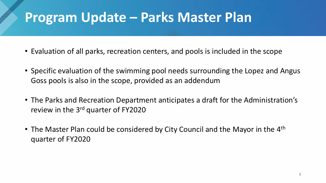### **Program Update – Parks Master Plan**

- Evaluation of all parks, recreation centers, and pools is included in the scope
- Specific evaluation of the swimming pool needs surrounding the Lopez and Angus Goss pools is also in the scope, provided as an addendum
- The Parks and Recreation Department anticipates a draft for the Administration's review in the 3<sup>rd</sup> quarter of FY2020
- The Master Plan could be considered by City Council and the Mayor in the 4<sup>th</sup> quarter of FY2020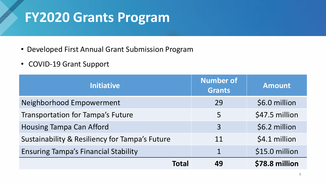### **FY2020 Grants Program**

- Developed First Annual Grant Submission Program
- COVID-19 Grant Support

| <b>Initiative</b>                              | <b>Number of</b><br><b>Grants</b> | <b>Amount</b>  |
|------------------------------------------------|-----------------------------------|----------------|
| Neighborhood Empowerment                       | 29                                | \$6.0 million  |
| <b>Transportation for Tampa's Future</b>       | 5                                 | \$47.5 million |
| <b>Housing Tampa Can Afford</b>                | $\overline{3}$                    | \$6.2 million  |
| Sustainability & Resiliency for Tampa's Future | 11                                | \$4.1 million  |
| <b>Ensuring Tampa's Financial Stability</b>    | $\mathbf 1$                       | \$15.0 million |
| Total                                          | 49                                | \$78.8 million |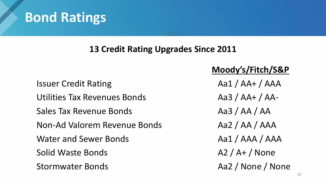### **Bond Ratings**

#### **13 Credit Rating Upgrades Since 2011**

Issuer Credit Rating Aa1 / AA+ / AAA Utilities Tax Revenues Bonds Aa3 / AA+ / AA-Sales Tax Revenue Bonds Aa3 / AA / AA Non-Ad Valorem Revenue Bonds Aa2 / AA / AAA Water and Sewer Bonds Aa1 / AAA / AAA Solid Waste Bonds A2 / A+ / None Stormwater Bonds Aa2 / None / None

#### **Moody's/Fitch/S&P**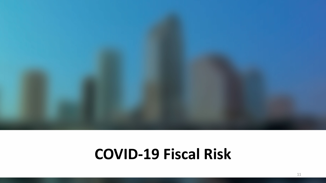

### **COVID-19 Fiscal Risk**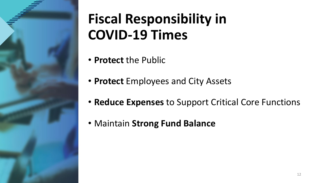

# **Fiscal Responsibility in COVID-19 Times**

- **Protect** the Public
- **Protect** Employees and City Assets
- **Reduce Expenses** to Support Critical Core Functions
- Maintain **Strong Fund Balance**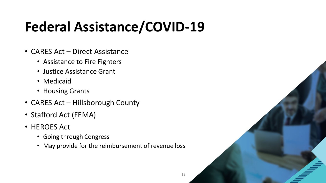# **Federal Assistance/COVID-19**

- CARES Act Direct Assistance
	- Assistance to Fire Fighters
	- Justice Assistance Grant
	- Medicaid
	- Housing Grants
- CARES Act Hillsborough County
- Stafford Act (FEMA)
- HEROES Act
	- Going through Congress
	- May provide for the reimbursement of revenue loss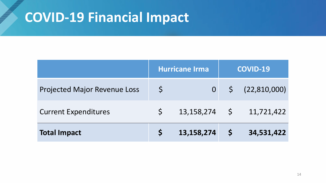### **COVID-19 Financial Impact**

|                                     |              | Hurricane Irma  | <b>COVID-19</b> |                      |  |
|-------------------------------------|--------------|-----------------|-----------------|----------------------|--|
| <b>Projected Major Revenue Loss</b> | $\varsigma$  | $\overline{O}$  |                 | $\zeta$ (22,810,000) |  |
| <b>Current Expenditures</b>         | $\mathsf{S}$ | $13,158,274$ \$ |                 | 11,721,422           |  |
| <b>Total Impact</b>                 |              | 13,158,274      | S               | 34,531,422           |  |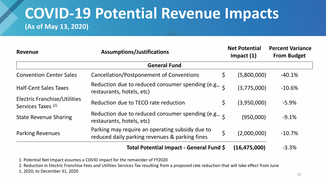### **COVID-19 Potential Revenue Impacts (As of May 13, 2020)**

| <b>Revenue</b>                                                       | <b>Assumptions/Justifications</b>                                                                                                      | <b>Net Potential</b><br>Impact $(1)$ |                   | <b>Percent Variance</b><br><b>From Budget</b> |  |  |  |  |  |
|----------------------------------------------------------------------|----------------------------------------------------------------------------------------------------------------------------------------|--------------------------------------|-------------------|-----------------------------------------------|--|--|--|--|--|
|                                                                      | <b>General Fund</b>                                                                                                                    |                                      |                   |                                               |  |  |  |  |  |
| <b>Convention Center Sales</b>                                       | Cancellation/Postponement of Conventions                                                                                               | \$                                   | (5,800,000)       | $-40.1%$                                      |  |  |  |  |  |
| <b>Half-Cent Sales Taxes</b>                                         | Reduction due to reduced consumer spending (e.g., e<br>restaurants, hotels, etc)                                                       |                                      | (3,775,000)       | $-10.6%$                                      |  |  |  |  |  |
| <b>Electric Franchise/Utilities</b><br>Services Taxes <sup>(2)</sup> | Reduction due to TECO rate reduction                                                                                                   | \$                                   | (3,950,000)       | $-5.9%$                                       |  |  |  |  |  |
| <b>State Revenue Sharing</b>                                         | Reduction due to reduced consumer spending (e.g., e<br>restaurants, hotels, etc)                                                       |                                      | (950,000)         | $-9.1%$                                       |  |  |  |  |  |
| <b>Parking Revenues</b>                                              | Parking may require an operating subsidy due to<br>reduced daily parking revenues & parking fines                                      | \$                                   | (2,000,000)       | $-10.7%$                                      |  |  |  |  |  |
|                                                                      | $\mathbf{F}_{\mathbf{z}}$ is a local contract of $\mathbf{F}_{\mathbf{z}}$ and $\mathbf{F}_{\mathbf{z}}$ and $\mathbf{F}_{\mathbf{z}}$ |                                      | $14C$ $17F$ $000$ | $\Omega$                                      |  |  |  |  |  |

#### **Total Potential Impact - General Fund \$ (16,475,000)** -3.3%

1. Potential Net Impact assumes a COVID impact for the remainder of FY2020

2. Reduction in Electric Franchise Fees and Utilities Services Tax resulting from a proposed rate reduction that will take effect from June

1, 2020, to December 31, 2020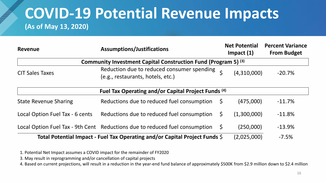### **COVID-19 Potential Revenue Impacts (As of May 13, 2020)**

| Revenue                                                                   | <b>Assumptions/Justifications</b>                                                   |                             |          |  |  |  |  |  |  |
|---------------------------------------------------------------------------|-------------------------------------------------------------------------------------|-----------------------------|----------|--|--|--|--|--|--|
| Community Investment Capital Construction Fund (Program 5) <sup>(3)</sup> |                                                                                     |                             |          |  |  |  |  |  |  |
| <b>CIT Sales Taxes</b>                                                    | Reduction due to reduced consumer spending<br>(e.g., restaurants, hotels, etc.)     | (4,310,000)                 | $-20.7%$ |  |  |  |  |  |  |
|                                                                           | Fuel Tax Operating and/or Capital Project Funds (4)                                 |                             |          |  |  |  |  |  |  |
| <b>State Revenue Sharing</b>                                              | Reductions due to reduced fuel consumption                                          | (475,000)<br>$\mathsf{S}$   | $-11.7%$ |  |  |  |  |  |  |
| Local Option Fuel Tax - 6 cents                                           | Reductions due to reduced fuel consumption                                          | (1,300,000)<br>$\mathsf{S}$ | $-11.8%$ |  |  |  |  |  |  |
|                                                                           | Local Option Fuel Tax - 9th Cent Reductions due to reduced fuel consumption $\oint$ | (250,000)                   | $-13.9%$ |  |  |  |  |  |  |
|                                                                           | Total Potential Impact - Fuel Tax Operating and/or Capital Project Funds $\zeta$    | (2,025,000)                 | $-7.5%$  |  |  |  |  |  |  |

1. Potential Net Impact assumes a COVID impact for the remainder of FY2020

3. May result in reprogramming and/or cancellation of capital projects

4. Based on current projections, will result in a reduction in the year-end fund balance of approximately \$500K from \$2.9 million down to \$2.4 million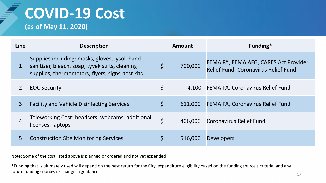# **COVID-19 Cost**

**(as of May 11, 2020)**

| Line        | <b>Description</b>                                                                                                                                   |              | Amount  | Funding*                                                                      |
|-------------|------------------------------------------------------------------------------------------------------------------------------------------------------|--------------|---------|-------------------------------------------------------------------------------|
| $\mathbf 1$ | Supplies including: masks, gloves, lysol, hand<br>sanitizer, bleach, soap, tyvek suits, cleaning<br>supplies, thermometers, flyers, signs, test kits | $\mathsf{S}$ | 700,000 | FEMA PA, FEMA AFG, CARES Act Provider<br>Relief Fund, Coronavirus Relief Fund |
|             | <b>EOC Security</b>                                                                                                                                  | $\varsigma$  |         | 4,100 FEMA PA, Coronavirus Relief Fund                                        |
| 3           | <b>Facility and Vehicle Disinfecting Services</b>                                                                                                    | \$           | 611,000 | FEMA PA, Coronavirus Relief Fund                                              |
| 4           | Teleworking Cost: headsets, webcams, additional<br>licenses, laptops                                                                                 | $\varsigma$  | 406,000 | Coronavirus Relief Fund                                                       |
| 5           | <b>Construction Site Monitoring Services</b>                                                                                                         |              | 516,000 | <b>Developers</b>                                                             |

Note: Some of the cost listed above is planned or ordered and not yet expended

\*Funding that is ultimately used will depend on the best return for the City, expenditure eligibility based on the funding source's criteria, and any future funding sources or change in guidance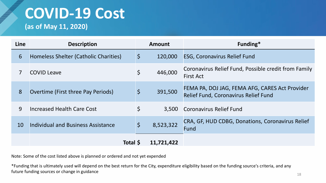# **COVID-19 Cost**

**(as of May 11, 2020)**

**SERVICE** 

| Line | <b>Description</b>                    |             | <b>Amount</b> | Funding*                                                                                      |
|------|---------------------------------------|-------------|---------------|-----------------------------------------------------------------------------------------------|
| 6    | Homeless Shelter (Catholic Charities) | $\zeta$     | 120,000       | <b>ESG, Coronavirus Relief Fund</b>                                                           |
|      | <b>COVID Leave</b>                    | \$          | 446,000       | Coronavirus Relief Fund, Possible credit from Family<br><b>First Act</b>                      |
| 8    | Overtime (First three Pay Periods)    | $\varsigma$ | 391,500       | FEMA PA, DOJ JAG, FEMA AFG, CARES Act Provider<br><b>Relief Fund, Coronavirus Relief Fund</b> |
| 9    | Increased Health Care Cost            | \$          | 3,500         | <b>Coronavirus Relief Fund</b>                                                                |
| 10   | Individual and Business Assistance    | $\varsigma$ | 8,523,322     | CRA, GF, HUD CDBG, Donations, Coronavirus Relief<br>Fund                                      |
|      | <b>Total S</b>                        |             | 11,721,422    |                                                                                               |

Note: Some of the cost listed above is planned or ordered and not yet expended

\*Funding that is ultimately used will depend on the best return for the City, expenditure eligibility based on the funding source's criteria, and any future funding sources or change in guidance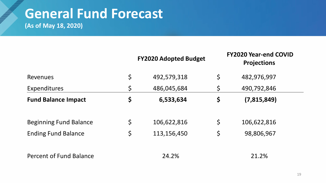# **General Fund Forecast**

**(As of May 18, 2020)** 

|                                | <b>FY2020 Adopted Budget</b> |             | <b>FY2020 Year-end COVID</b><br><b>Projections</b> |  |  |
|--------------------------------|------------------------------|-------------|----------------------------------------------------|--|--|
| <b>Revenues</b>                | \$<br>492,579,318            | $\varsigma$ | 482,976,997                                        |  |  |
| <b>Expenditures</b>            | \$<br>486,045,684            | $\varsigma$ | 490,792,846                                        |  |  |
| <b>Fund Balance Impact</b>     | \$<br>6,533,634              | \$          | (7,815,849)                                        |  |  |
| <b>Beginning Fund Balance</b>  | \$<br>106,622,816            | $\zeta$     | 106,622,816                                        |  |  |
| <b>Ending Fund Balance</b>     | \$<br>113,156,450            | $\varsigma$ | 98,806,967                                         |  |  |
| <b>Percent of Fund Balance</b> | 24.2%                        |             | 21.2%                                              |  |  |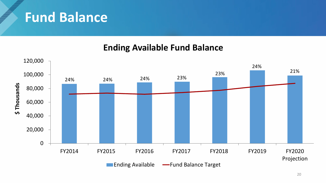### **Fund Balance**

#### **Ending Available Fund Balance**

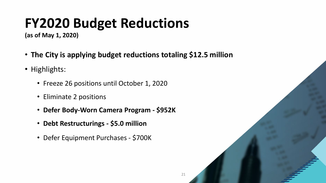# **FY2020 Budget Reductions**

**(as of May 1, 2020)**

- **The City is applying budget reductions totaling \$12.5 million**
- Highlights:
	- Freeze 26 positions until October 1, 2020
	- Eliminate 2 positions
	- **Defer Body-Worn Camera Program - \$952K**
	- **Debt Restructurings - \$5.0 million**
	- Defer Equipment Purchases \$700K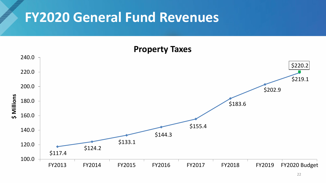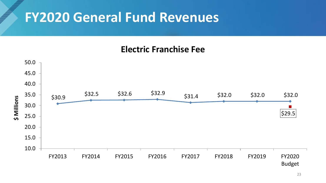#### **Electric Franchise Fee**

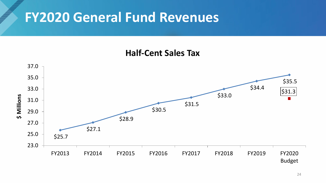#### **Half-Cent Sales Tax**

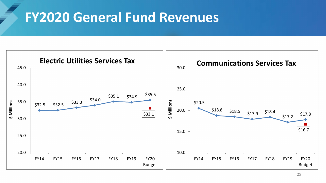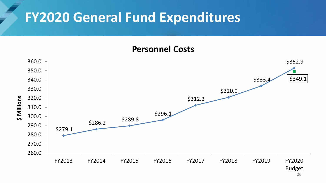### **FY2020 General Fund Expenditures**

#### **Personnel Costs**



26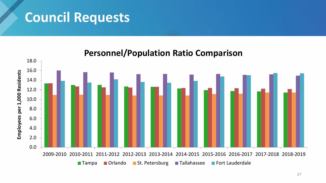### **Council Requests**



#### **Personnel/Population Ratio Comparison**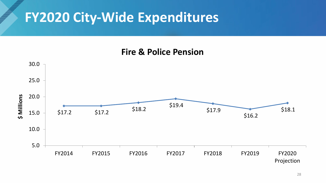### **FY2020 City-Wide Expenditures**

#### **Fire & Police Pension**

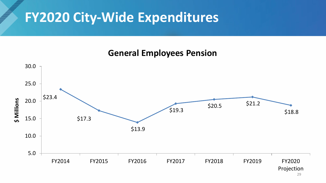### **FY2020 City-Wide Expenditures**

#### **General Employees Pension**

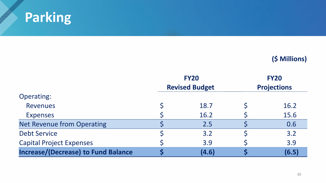

**September 1997** 

|                                            | <b>FY20</b>           | <b>FY20</b>        |  |  |
|--------------------------------------------|-----------------------|--------------------|--|--|
|                                            | <b>Revised Budget</b> | <b>Projections</b> |  |  |
| <b>Operating:</b>                          |                       |                    |  |  |
| <b>Revenues</b>                            | 18.7                  | 16.2               |  |  |
| <b>Expenses</b>                            | 16.2                  | 15.6               |  |  |
| <b>Net Revenue from Operating</b>          | 2.5                   | 0.6                |  |  |
| <b>Debt Service</b>                        | 3.2                   | 3.2                |  |  |
| <b>Capital Project Expenses</b>            | 3.9                   | 3.9                |  |  |
| <b>Increase/(Decrease) to Fund Balance</b> | (4.6)                 | (6.5)              |  |  |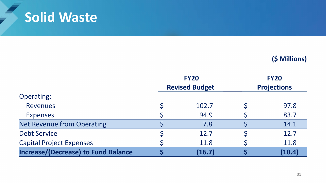### **Solid Waste**

**SERVICE** 

|                                            | <b>FY20</b>           | <b>FY20</b>        |
|--------------------------------------------|-----------------------|--------------------|
|                                            | <b>Revised Budget</b> | <b>Projections</b> |
| <b>Operating:</b>                          |                       |                    |
| <b>Revenues</b>                            | 102.7                 | 97.8               |
| <b>Expenses</b>                            | 94.9                  | 83.7               |
| <b>Net Revenue from Operating</b>          | 7.8                   | 14.1               |
| <b>Debt Service</b>                        | 12.7                  | 12.7               |
| <b>Capital Project Expenses</b>            | 11.8                  | 11.8               |
| <b>Increase/(Decrease) to Fund Balance</b> | (16.7)                | (10.4)             |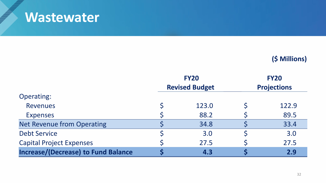### **Wastewater**

**SERVICE** 

|                                            | <b>FY20</b>           | <b>FY20</b>        |       |  |
|--------------------------------------------|-----------------------|--------------------|-------|--|
|                                            | <b>Revised Budget</b> | <b>Projections</b> |       |  |
| <b>Operating:</b>                          |                       |                    |       |  |
| <b>Revenues</b>                            | 123.0                 |                    | 122.9 |  |
| <b>Expenses</b>                            | 88.2                  |                    | 89.5  |  |
| <b>Net Revenue from Operating</b>          | 34.8                  |                    | 33.4  |  |
| <b>Debt Service</b>                        | 3.0                   |                    | 3.0   |  |
| <b>Capital Project Expenses</b>            | 27.5                  |                    | 27.5  |  |
| <b>Increase/(Decrease) to Fund Balance</b> | 4.3                   |                    | 2.9   |  |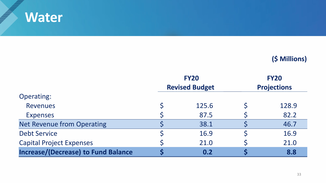

**SERVICE** 

|                                            | <b>FY20</b>           | <b>FY20</b>        |       |  |
|--------------------------------------------|-----------------------|--------------------|-------|--|
|                                            | <b>Revised Budget</b> | <b>Projections</b> |       |  |
| <b>Operating:</b>                          |                       |                    |       |  |
| <b>Revenues</b>                            | 125.6                 |                    | 128.9 |  |
| <b>Expenses</b>                            | 87.5                  |                    | 82.2  |  |
| <b>Net Revenue from Operating</b>          | 38.1                  |                    | 46.7  |  |
| <b>Debt Service</b>                        | 16.9                  |                    | 16.9  |  |
| <b>Capital Project Expenses</b>            | 21.0                  |                    | 21.0  |  |
| <b>Increase/(Decrease) to Fund Balance</b> | 0.2                   |                    | 8.8   |  |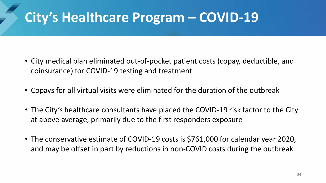## **City's Healthcare Program – COVID-19**

- City medical plan eliminated out-of-pocket patient costs (copay, deductible, and coinsurance) for COVID-19 testing and treatment
- Copays for all virtual visits were eliminated for the duration of the outbreak
- The City's healthcare consultants have placed the COVID-19 risk factor to the City at above average, primarily due to the first responders exposure
- The conservative estimate of COVID-19 costs is \$761,000 for calendar year 2020, and may be offset in part by reductions in non-COVID costs during the outbreak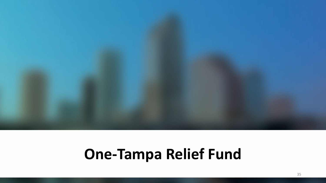

## **One-Tampa Relief Fund**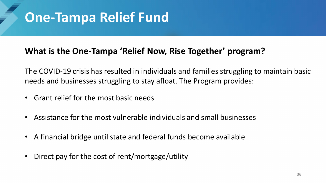### **One-Tampa Relief Fund**

#### **What is the One-Tampa 'Relief Now, Rise Together' program?**

The COVID-19 crisis has resulted in individuals and families struggling to maintain basic needs and businesses struggling to stay afloat. The Program provides:

- Grant relief for the most basic needs
- Assistance for the most vulnerable individuals and small businesses
- A financial bridge until state and federal funds become available
- Direct pay for the cost of rent/mortgage/utility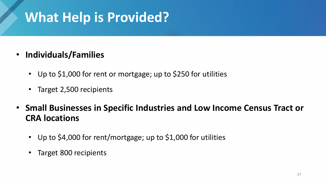## **What Help is Provided?**

- **Individuals/Families** 
	- Up to \$1,000 for rent or mortgage; up to \$250 for utilities
	- Target 2,500 recipients
- **Small Businesses in Specific Industries and Low Income Census Tract or CRA locations**
	- Up to \$4,000 for rent/mortgage; up to \$1,000 for utilities
	- Target 800 recipients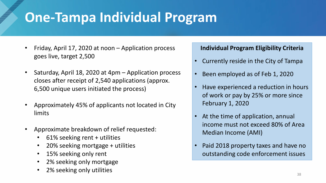## **One-Tampa Individual Program**

- Friday, April 17, 2020 at noon Application process goes live, target 2,500
- Saturday, April 18, 2020 at 4pm Application process closes after receipt of 2,540 applications (approx. 6,500 unique users initiated the process)
- Approximately 45% of applicants not located in City limits
- Approximate breakdown of relief requested:
	- 61% seeking rent + utilities
	- 20% seeking mortgage + utilities
	- 15% seeking only rent
	- 2% seeking only mortgage
	- 2% seeking only utilities

#### **Individual Program Eligibility Criteria**

- Currently reside in the City of Tampa
- Been employed as of Feb 1, 2020
- Have experienced a reduction in hours of work or pay by 25% or more since February 1, 2020
- At the time of application, annual income must not exceed 80% of Area Median Income (AMI)
- Paid 2018 property taxes and have no outstanding code enforcement issues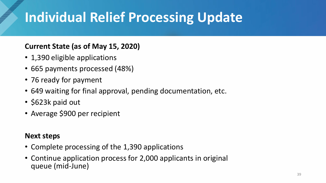# **Individual Relief Processing Update**

#### **Current State (as of May 15, 2020)**

- 1,390 eligible applications
- 665 payments processed (48%)
- 76 ready for payment
- 649 waiting for final approval, pending documentation, etc.
- \$623k paid out
- Average \$900 per recipient

#### **Next steps**

- Complete processing of the 1,390 applications
- Continue application process for 2,000 applicants in original queue (mid-June)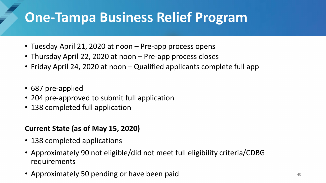- Tuesday April 21, 2020 at noon Pre-app process opens
- Thursday April 22, 2020 at noon Pre-app process closes
- Friday April 24, 2020 at noon Qualified applicants complete full app
- 687 pre-applied
- 204 pre-approved to submit full application
- 138 completed full application

#### **Current State (as of May 15, 2020)**

- 138 completed applications
- Approximately 90 not eligible/did not meet full eligibility criteria/CDBG requirements
- Approximately 50 pending or have been paid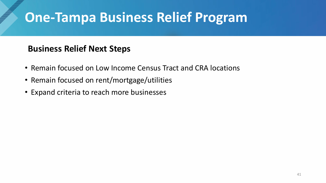#### **Business Relief Next Steps**

- Remain focused on Low Income Census Tract and CRA locations
- Remain focused on rent/mortgage/utilities
- Expand criteria to reach more businesses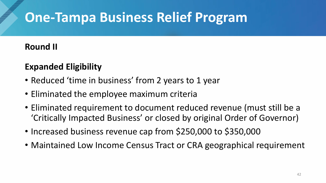#### **Round II**

### **Expanded Eligibility**

- Reduced 'time in business' from 2 years to 1 year
- Eliminated the employee maximum criteria
- Eliminated requirement to document reduced revenue (must still be a 'Critically Impacted Business' or closed by original Order of Governor)
- Increased business revenue cap from \$250,000 to \$350,000
- Maintained Low Income Census Tract or CRA geographical requirement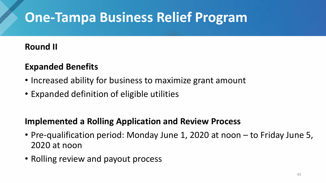#### **Round II**

#### **Expanded Benefits**

- Increased ability for business to maximize grant amount
- Expanded definition of eligible utilities

#### **Implemented a Rolling Application and Review Process**

- Pre-qualification period: Monday June 1, 2020 at noon to Friday June 5, 2020 at noon
- Rolling review and payout process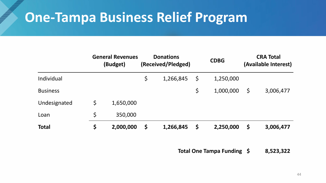|                 | <b>General Revenues</b><br>(Budget) | <b>Donations</b><br>(Received/Pledged) |           | <b>CDBG</b> |           | <b>CRA Total</b><br>(Available Interest) |           |
|-----------------|-------------------------------------|----------------------------------------|-----------|-------------|-----------|------------------------------------------|-----------|
| Individual      |                                     | \$                                     | 1,266,845 | $\varsigma$ | 1,250,000 |                                          |           |
| <b>Business</b> |                                     |                                        |           | \$          | 1,000,000 | \$                                       | 3,006,477 |
| Undesignated    | \$<br>1,650,000                     |                                        |           |             |           |                                          |           |
| Loan            | \$<br>350,000                       |                                        |           |             |           |                                          |           |
| <b>Total</b>    | \$<br>2,000,000                     | \$                                     | 1,266,845 | Ş           | 2,250,000 | \$                                       | 3,006,477 |

**Total One Tampa Funding \$ 8,523,322**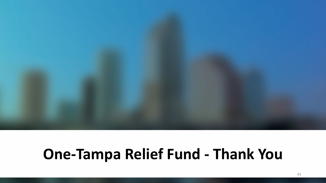# **One-Tampa Relief Fund - Thank You**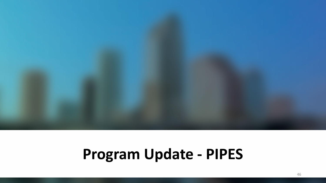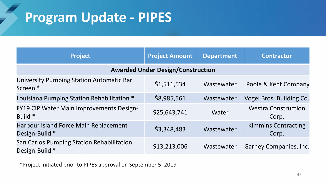| <b>Project</b>                                              | <b>Project Amount</b> | <b>Department</b> | <b>Contractor</b>                   |  |  |  |
|-------------------------------------------------------------|-----------------------|-------------------|-------------------------------------|--|--|--|
| <b>Awarded Under Design/Construction</b>                    |                       |                   |                                     |  |  |  |
| University Pumping Station Automatic Bar<br>Screen *        | \$1,511,534           | Wastewater        | Poole & Kent Company                |  |  |  |
| Louisiana Pumping Station Rehabilitation *                  | \$8,985,561           | Wastewater        | Vogel Bros. Building Co.            |  |  |  |
| <b>FY19 CIP Water Main Improvements Design-</b><br>Build *  | \$25,643,741          | Water             | <b>Westra Construction</b><br>Corp. |  |  |  |
| Harbour Island Force Main Replacement<br>Design-Build *     | \$3,348,483           | Wastewater        | <b>Kimmins Contracting</b><br>Corp. |  |  |  |
| San Carlos Pumping Station Rehabilitation<br>Design-Build * | \$13,213,006          | Wastewater        | <b>Garney Companies, Inc.</b>       |  |  |  |

\*Project initiated prior to PIPES approval on September 5, 2019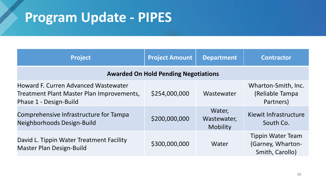| <b>Project</b>                                                                                              | <b>Project Amount</b> | <b>Department</b>                        | <b>Contractor</b>                                                |  |  |  |  |
|-------------------------------------------------------------------------------------------------------------|-----------------------|------------------------------------------|------------------------------------------------------------------|--|--|--|--|
| <b>Awarded On Hold Pending Negotiations</b>                                                                 |                       |                                          |                                                                  |  |  |  |  |
| Howard F. Curren Advanced Wastewater<br>Treatment Plant Master Plan Improvements,<br>Phase 1 - Design-Build | \$254,000,000         | Wastewater                               | Wharton-Smith, Inc.<br>(Reliable Tampa<br>Partners)              |  |  |  |  |
| Comprehensive Infrastructure for Tampa<br>Neighborhoods Design-Build                                        | \$200,000,000         | Water,<br>Wastewater,<br><b>Mobility</b> | Kiewit Infrastructure<br>South Co.                               |  |  |  |  |
| David L. Tippin Water Treatment Facility<br><b>Master Plan Design-Build</b>                                 | \$300,000,000         | Water                                    | <b>Tippin Water Team</b><br>(Garney, Wharton-<br>Smith, Carollo) |  |  |  |  |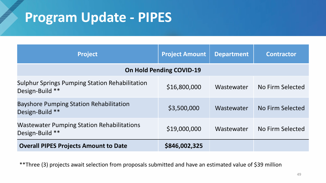| <b>Project</b>                                                           | <b>Project Amount</b> | <b>Department</b> | <b>Contractor</b> |  |  |  |  |
|--------------------------------------------------------------------------|-----------------------|-------------------|-------------------|--|--|--|--|
| <b>On Hold Pending COVID-19</b>                                          |                       |                   |                   |  |  |  |  |
| <b>Sulphur Springs Pumping Station Rehabilitation</b><br>Design-Build ** | \$16,800,000          | Wastewater        | No Firm Selected  |  |  |  |  |
| <b>Bayshore Pumping Station Rehabilitation</b><br>Design-Build **        | \$3,500,000           | Wastewater        | No Firm Selected  |  |  |  |  |
| <b>Wastewater Pumping Station Rehabilitations</b><br>Design-Build **     | \$19,000,000          | Wastewater        | No Firm Selected  |  |  |  |  |
| <b>Overall PIPES Projects Amount to Date</b>                             | \$846,002,325         |                   |                   |  |  |  |  |

\*\*Three (3) projects await selection from proposals submitted and have an estimated value of \$39 million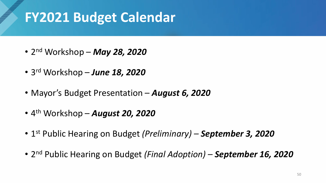### **FY2021 Budget Calendar**

- 2nd Workshop *May 28, 2020*
- 3rd Workshop *June 18, 2020*
- Mayor's Budget Presentation *August 6, 2020*
- 4th Workshop *August 20, 2020*
- 1st Public Hearing on Budget *(Preliminary) – September 3, 2020*
- 2nd Public Hearing on Budget *(Final Adoption) – September 16, 2020*